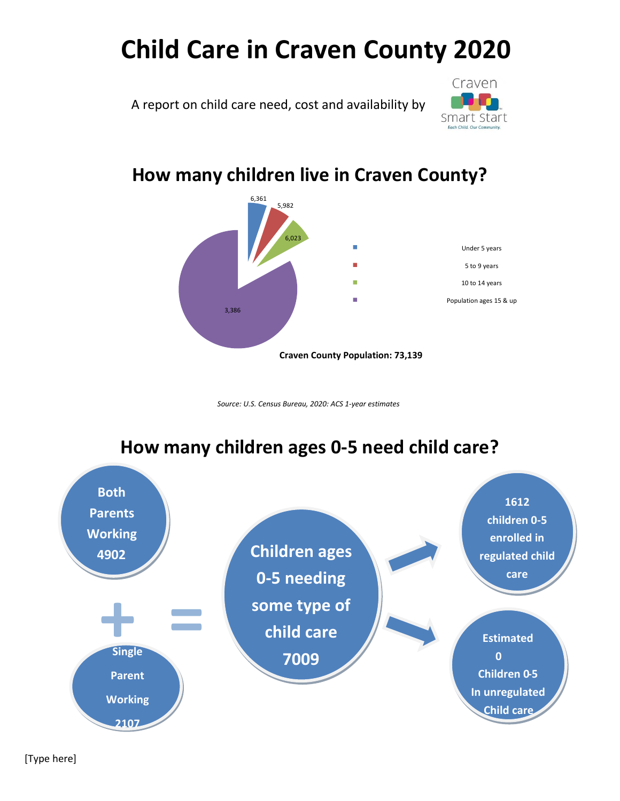# **Child Care in Craven County 2020**

A report on child care need, cost and availability by



#### **How many children live in Craven County?**



*Source: U.S. Census Bureau, 2020: ACS 1-year estimates*



#### **How many children ages 0-5 need child care?**

[Type here]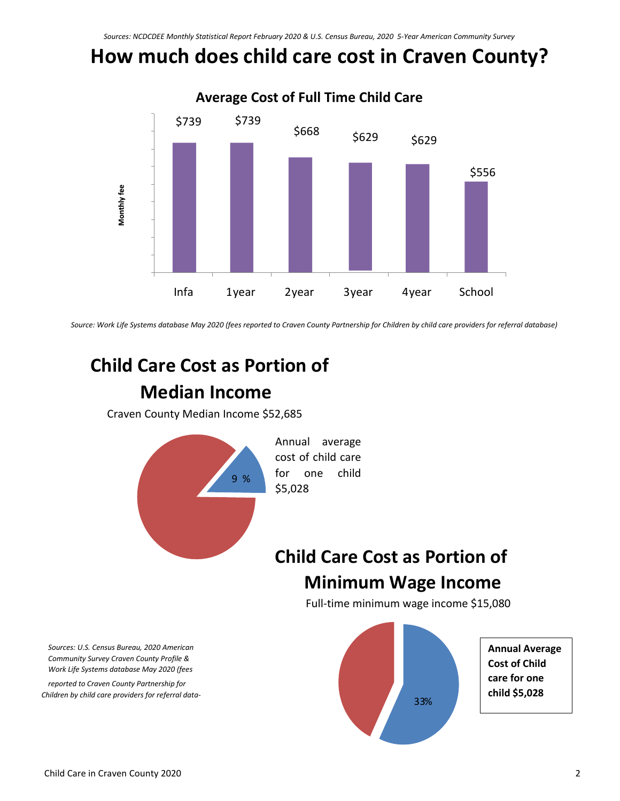# **How much does child care cost in Craven County?**



*Source: Work Life Systems database May 2020 (fees reported to Craven County Partnership for Children by child care providers for referral database)*

## **Child Care Cost as Portion of Median Income**

Craven County Median Income \$52,685



## **Child Care Cost as Portion of Minimum Wage Income**

Full-time minimum wage income \$15,080



*Sources: U.S. Census Bureau, 2020 American Community Survey Craven County Profile & Work Life Systems database May 2020 (fees* 

*reported to Craven County Partnership for Children by child care providers for referral data-*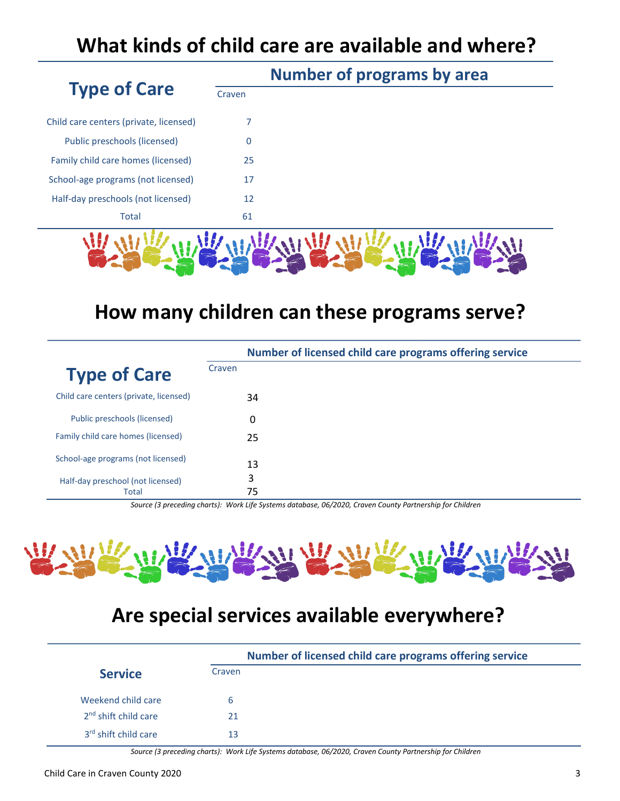## **What kinds of child care are available and where?**

|                                        | <b>Number of programs by area</b> |  |  |
|----------------------------------------|-----------------------------------|--|--|
| <b>Type of Care</b>                    | Craven                            |  |  |
| Child care centers (private, licensed) |                                   |  |  |
| Public preschools (licensed)           | $\Omega$                          |  |  |
| Family child care homes (licensed)     | 25                                |  |  |
| School-age programs (not licensed)     | 17                                |  |  |
| Half-day preschools (not licensed)     | 12                                |  |  |
| <b>Total</b>                           | 61                                |  |  |
|                                        |                                   |  |  |
|                                        |                                   |  |  |

#### **How many children can these programs serve?**

|                                            |        | Number of licensed child care programs offering service |
|--------------------------------------------|--------|---------------------------------------------------------|
| <b>Type of Care</b>                        | Craven |                                                         |
| Child care centers (private, licensed)     |        | 34                                                      |
| Public preschools (licensed)               |        | 0                                                       |
| Family child care homes (licensed)         |        | 25                                                      |
| School-age programs (not licensed)         |        | 13                                                      |
| Half-day preschool (not licensed)<br>Total | 3      | 75                                                      |

*Source (3 preceding charts): Work Life Systems database, 06/2020, Craven County Partnership for Children*



## **Are special services available everywhere?**

|                                  | Number of licensed child care programs offering service |  |  |
|----------------------------------|---------------------------------------------------------|--|--|
| <b>Service</b>                   | Craven                                                  |  |  |
| Weekend child care               | h                                                       |  |  |
| 2 <sup>nd</sup> shift child care | 21                                                      |  |  |
| 3 <sup>rd</sup> shift child care | 13                                                      |  |  |

*Source (3 preceding charts): Work Life Systems database, 06/2020, Craven County Partnership for Children*